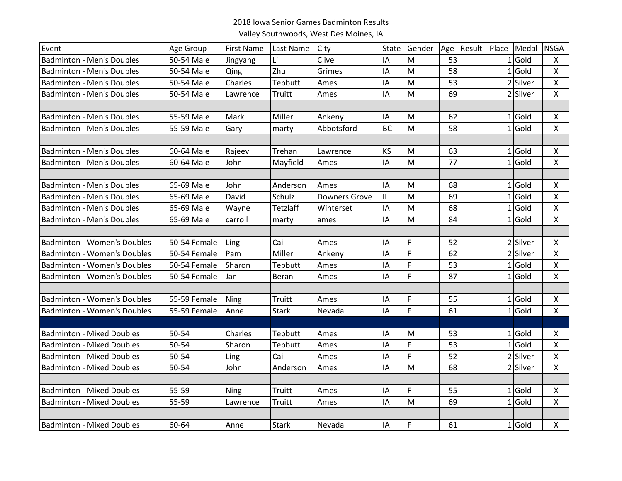## 2018 Iowa Senior Games Badminton Results

Valley Southwoods, West Des Moines, IA

| Event                              | Age Group    | <b>First Name</b> | Last Name    | City                 | State     | Gender | Age | Result | Place Medal | <b>NSGA</b>    |
|------------------------------------|--------------|-------------------|--------------|----------------------|-----------|--------|-----|--------|-------------|----------------|
| <b>Badminton - Men's Doubles</b>   | 50-54 Male   | Jingyang          | Li           | Clive                | IΑ        | M      | 53  |        | $1$ Gold    | X              |
| <b>Badminton - Men's Doubles</b>   | 50-54 Male   | Qing              | Zhu          | Grimes               | IA        | M      | 58  |        | $1$ Gold    | $\mathsf{X}$   |
| <b>Badminton - Men's Doubles</b>   | 50-54 Male   | Charles           | Tebbutt      | Ames                 | ΙA        | M      | 53  |        | 2 Silver    | $\pmb{\times}$ |
| <b>Badminton - Men's Doubles</b>   | 50-54 Male   | Lawrence          | Truitt       | Ames                 | ΙA        | M      | 69  |        | 2 Silver    | $\mathsf{X}$   |
|                                    |              |                   |              |                      |           |        |     |        |             |                |
| <b>Badminton - Men's Doubles</b>   | 55-59 Male   | Mark              | Miller       | Ankeny               | IΑ        | M      | 62  |        | $1$ Gold    | X              |
| <b>Badminton - Men's Doubles</b>   | 55-59 Male   | Gary              | marty        | Abbotsford           | <b>BC</b> | M      | 58  |        | $1$ Gold    | $\mathsf{X}$   |
|                                    |              |                   |              |                      |           |        |     |        |             |                |
| <b>Badminton - Men's Doubles</b>   | 60-64 Male   | Rajeev            | Trehan       | Lawrence             | KS        | M      | 63  |        | $1$ Gold    | X              |
| <b>Badminton - Men's Doubles</b>   | 60-64 Male   | John              | Mayfield     | Ames                 | IA        | M      | 77  |        | $1$ Gold    | $\mathsf{X}$   |
|                                    |              |                   |              |                      |           |        |     |        |             |                |
| <b>Badminton - Men's Doubles</b>   | 65-69 Male   | John              | Anderson     | Ames                 | IA        | M      | 68  |        | $1$ Gold    | X              |
| <b>Badminton - Men's Doubles</b>   | 65-69 Male   | David             | Schulz       | <b>Downers Grove</b> | IL        | M      | 69  |        | $1$ Gold    | $\mathsf{X}$   |
| <b>Badminton - Men's Doubles</b>   | 65-69 Male   | Wayne             | Tetzlaff     | Winterset            | IA        | M      | 68  |        | $1$ Gold    | $\pmb{\times}$ |
| <b>Badminton - Men's Doubles</b>   | 65-69 Male   | carroll           | marty        | ames                 | IΑ        | M      | 84  |        | $1$ Gold    | X              |
|                                    |              |                   |              |                      |           |        |     |        |             |                |
| <b>Badminton - Women's Doubles</b> | 50-54 Female | Ling              | Cai          | Ames                 | IA        | F      | 52  |        | 2 Silver    | X              |
| <b>Badminton - Women's Doubles</b> | 50-54 Female | Pam               | Miller       | Ankeny               | ΙA        | F      | 62  |        | 2 Silver    | $\mathsf{X}$   |
| <b>Badminton - Women's Doubles</b> | 50-54 Female | Sharon            | Tebbutt      | Ames                 | IΑ        | F      | 53  |        | $1$ Gold    | $\mathsf{X}$   |
| <b>Badminton - Women's Doubles</b> | 50-54 Female | Jan               | Beran        | Ames                 | IΑ        | F      | 87  |        | $1$ Gold    | X              |
|                                    |              |                   |              |                      |           |        |     |        |             |                |
| <b>Badminton - Women's Doubles</b> | 55-59 Female | Ning              | Truitt       | Ames                 | IA        | F      | 55  |        | $1$ Gold    | X              |
| <b>Badminton - Women's Doubles</b> | 55-59 Female | Anne              | <b>Stark</b> | Nevada               | IA        | F      | 61  |        | $1$ Gold    | $\mathsf{X}$   |
|                                    |              |                   |              |                      |           |        |     |        |             |                |
| <b>Badminton - Mixed Doubles</b>   | 50-54        | Charles           | Tebbutt      | Ames                 | IΑ        | M      | 53  |        | $1$ Gold    | $\mathsf{X}$   |
| <b>Badminton - Mixed Doubles</b>   | 50-54        | Sharon            | Tebbutt      | Ames                 | IA        | F      | 53  |        | $1$ Gold    | X              |
| <b>Badminton - Mixed Doubles</b>   | 50-54        | Ling              | Cai          | Ames                 | IA        | F      | 52  |        | 2 Silver    | $\mathsf{X}$   |
| <b>Badminton - Mixed Doubles</b>   | $50 - 54$    | John              | Anderson     | Ames                 | ΙA        | M      | 68  |        | 2 Silver    | $\mathsf{X}$   |
|                                    |              |                   |              |                      |           |        |     |        |             |                |
| <b>Badminton - Mixed Doubles</b>   | 55-59        | Ning              | Truitt       | Ames                 | IΑ        | F      | 55  |        | $1$ Gold    | $\mathsf{X}$   |
| <b>Badminton - Mixed Doubles</b>   | 55-59        | Lawrence          | Truitt       | Ames                 | IΑ        | M      | 69  |        | $1$ Gold    | X              |
|                                    |              |                   |              |                      |           |        |     |        |             |                |
| <b>Badminton - Mixed Doubles</b>   | 60-64        | Anne              | <b>Stark</b> | Nevada               | IA        | F      | 61  |        | $1$ Gold    | $\mathsf{X}$   |